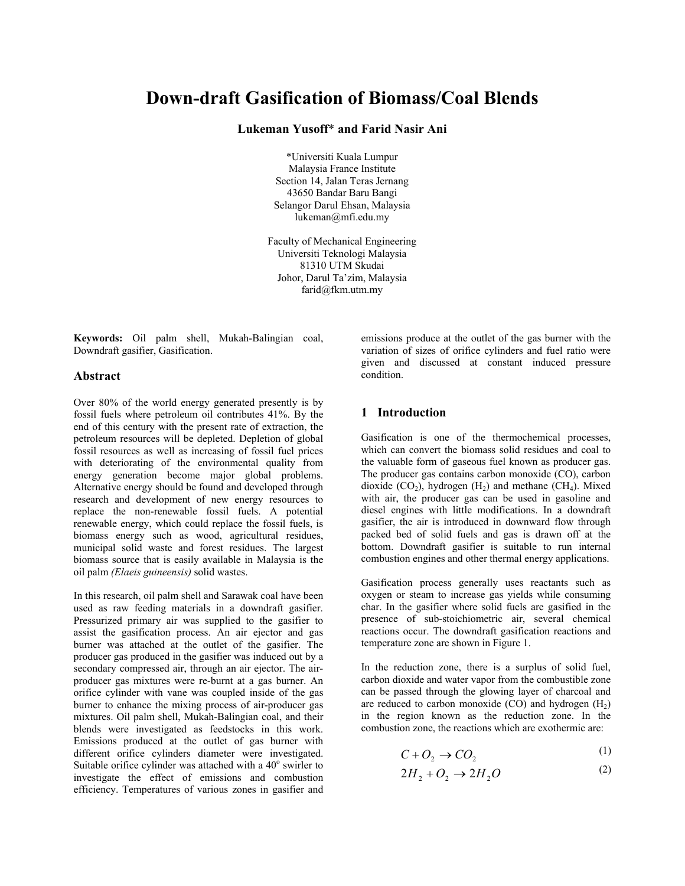# **Down-draft Gasification of Biomass/Coal Blends**

**Lukeman Yusoff**\* **and Farid Nasir Ani** 

\*Universiti Kuala Lumpur Malaysia France Institute Section 14, Jalan Teras Jernang 43650 Bandar Baru Bangi Selangor Darul Ehsan, Malaysia lukeman@mfi.edu.my

Faculty of Mechanical Engineering Universiti Teknologi Malaysia 81310 UTM Skudai Johor, Darul Ta'zim, Malaysia farid@fkm.utm.my

**Keywords:** Oil palm shell, Mukah-Balingian coal, Downdraft gasifier, Gasification.

## **Abstract**

Over 80% of the world energy generated presently is by fossil fuels where petroleum oil contributes 41%. By the end of this century with the present rate of extraction, the petroleum resources will be depleted. Depletion of global fossil resources as well as increasing of fossil fuel prices with deteriorating of the environmental quality from energy generation become major global problems. Alternative energy should be found and developed through research and development of new energy resources to replace the non-renewable fossil fuels. A potential renewable energy, which could replace the fossil fuels, is biomass energy such as wood, agricultural residues, municipal solid waste and forest residues. The largest biomass source that is easily available in Malaysia is the oil palm *(Elaeis guineensis)* solid wastes.

In this research, oil palm shell and Sarawak coal have been used as raw feeding materials in a downdraft gasifier. Pressurized primary air was supplied to the gasifier to assist the gasification process. An air ejector and gas burner was attached at the outlet of the gasifier. The producer gas produced in the gasifier was induced out by a secondary compressed air, through an air ejector. The airproducer gas mixtures were re-burnt at a gas burner. An orifice cylinder with vane was coupled inside of the gas burner to enhance the mixing process of air-producer gas mixtures. Oil palm shell, Mukah-Balingian coal, and their blends were investigated as feedstocks in this work. Emissions produced at the outlet of gas burner with different orifice cylinders diameter were investigated. Suitable orifice cylinder was attached with a  $40^{\circ}$  swirler to investigate the effect of emissions and combustion efficiency. Temperatures of various zones in gasifier and emissions produce at the outlet of the gas burner with the variation of sizes of orifice cylinders and fuel ratio were given and discussed at constant induced pressure condition.

## **1 Introduction**

Gasification is one of the thermochemical processes, which can convert the biomass solid residues and coal to the valuable form of gaseous fuel known as producer gas. The producer gas contains carbon monoxide (CO), carbon dioxide  $(CO_2)$ , hydrogen  $(H_2)$  and methane  $(CH_4)$ . Mixed with air, the producer gas can be used in gasoline and diesel engines with little modifications. In a downdraft gasifier, the air is introduced in downward flow through packed bed of solid fuels and gas is drawn off at the bottom. Downdraft gasifier is suitable to run internal combustion engines and other thermal energy applications.

Gasification process generally uses reactants such as oxygen or steam to increase gas yields while consuming char. In the gasifier where solid fuels are gasified in the presence of sub-stoichiometric air, several chemical reactions occur. The downdraft gasification reactions and temperature zone are shown in Figure 1.

In the reduction zone, there is a surplus of solid fuel, carbon dioxide and water vapor from the combustible zone can be passed through the glowing layer of charcoal and are reduced to carbon monoxide  $(CO)$  and hydrogen  $(H<sub>2</sub>)$ in the region known as the reduction zone. In the combustion zone, the reactions which are exothermic are:

$$
C + O_2 \rightarrow CO_2 \tag{1}
$$

$$
2H_2 + O_2 \rightarrow 2H_2O \tag{2}
$$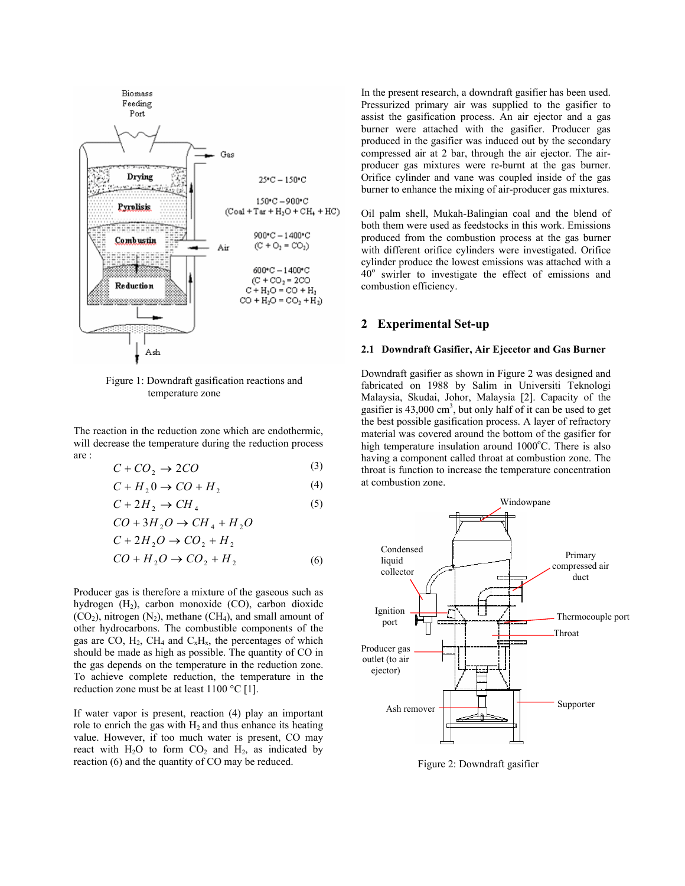

Figure 1: Downdraft gasification reactions and temperature zone

The reaction in the reduction zone which are endothermic, will decrease the temperature during the reduction process are :

$$
C + CO_2 \rightarrow 2CO \tag{3}
$$

$$
C + H_2 0 \to CO + H_2 \tag{4}
$$

$$
C + 2H_2 \rightarrow CH_4 \tag{5}
$$

$$
CO + 3H_2O \rightarrow CH_4 + H_2O
$$
  

$$
C + 2H_2O \rightarrow CO_2 + H_2
$$

$$
CO + H_2O \rightarrow CO_2 + H_2 \tag{6}
$$

Producer gas is therefore a mixture of the gaseous such as hydrogen  $(H_2)$ , carbon monoxide  $(CO)$ , carbon dioxide  $(CO<sub>2</sub>)$ , nitrogen  $(N<sub>2</sub>)$ , methane  $(CH<sub>4</sub>)$ , and small amount of other hydrocarbons. The combustible components of the gas are CO,  $H_2$ , CH<sub>4</sub> and C<sub>x</sub>H<sub>x</sub>, the percentages of which should be made as high as possible. The quantity of CO in the gas depends on the temperature in the reduction zone. To achieve complete reduction, the temperature in the reduction zone must be at least 1100 °C [1].

If water vapor is present, reaction (4) play an important role to enrich the gas with  $H_2$  and thus enhance its heating value. However, if too much water is present, CO may react with  $H_2O$  to form  $CO_2$  and  $H_2$ , as indicated by reaction (6) and the quantity of CO may be reduced.

In the present research, a downdraft gasifier has been used. Pressurized primary air was supplied to the gasifier to assist the gasification process. An air ejector and a gas burner were attached with the gasifier. Producer gas produced in the gasifier was induced out by the secondary compressed air at 2 bar, through the air ejector. The airproducer gas mixtures were re-burnt at the gas burner. Orifice cylinder and vane was coupled inside of the gas burner to enhance the mixing of air-producer gas mixtures.

Oil palm shell, Mukah-Balingian coal and the blend of both them were used as feedstocks in this work. Emissions produced from the combustion process at the gas burner with different orifice cylinders were investigated. Orifice cylinder produce the lowest emissions was attached with a  $40^\circ$  swirler to investigate the effect of emissions and combustion efficiency.

## **2 Experimental Set-up**

### **2.1 Downdraft Gasifier, Air Ejecetor and Gas Burner**

Downdraft gasifier as shown in Figure 2 was designed and fabricated on 1988 by Salim in Universiti Teknologi Malaysia, Skudai, Johor, Malaysia [2]. Capacity of the gasifier is  $43,000 \text{ cm}^3$ , but only half of it can be used to get the best possible gasification process. A layer of refractory material was covered around the bottom of the gasifier for high temperature insulation around  $1000^{\circ}$ C. There is also having a component called throat at combustion zone. The throat is function to increase the temperature concentration at combustion zone.



Figure 2: Downdraft gasifier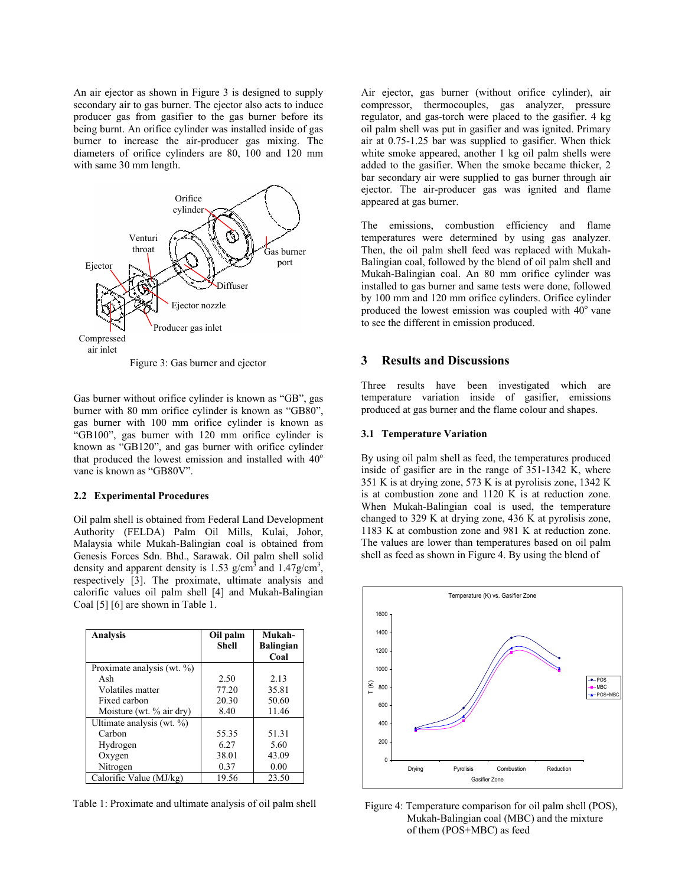An air ejector as shown in Figure 3 is designed to supply secondary air to gas burner. The ejector also acts to induce producer gas from gasifier to the gas burner before its being burnt. An orifice cylinder was installed inside of gas burner to increase the air-producer gas mixing. The diameters of orifice cylinders are 80, 100 and 120 mm with same 30 mm length.



Figure 3: Gas burner and ejector

Gas burner without orifice cylinder is known as "GB", gas burner with 80 mm orifice cylinder is known as "GB80", gas burner with 100 mm orifice cylinder is known as "GB100", gas burner with 120 mm orifice cylinder is known as "GB120", and gas burner with orifice cylinder that produced the lowest emission and installed with  $40^{\circ}$ vane is known as "GB80V".

#### **2.2 Experimental Procedures**

Oil palm shell is obtained from Federal Land Development Authority (FELDA) Palm Oil Mills, Kulai, Johor, Malaysia while Mukah-Balingian coal is obtained from Genesis Forces Sdn. Bhd., Sarawak. Oil palm shell solid density and apparent density is 1.53  $g/cm<sup>3</sup>$  and 1.47 $g/cm<sup>3</sup>$ , respectively [3]. The proximate, ultimate analysis and calorific values oil palm shell [4] and Mukah-Balingian Coal [5] [6] are shown in Table 1.

| <b>Analysis</b>                | Oil palm<br><b>Shell</b> | Mukah-<br><b>Balingian</b><br>Coal |
|--------------------------------|--------------------------|------------------------------------|
| Proximate analysis (wt. $\%$ ) |                          |                                    |
| Ash                            | 2.50                     | 2.13                               |
| Volatiles matter               | 77.20                    | 35.81                              |
| Fixed carbon                   | 20.30                    | 50.60                              |
| Moisture (wt. % air dry)       | 8.40                     | 11.46                              |
| Ultimate analysis (wt. $\%$ )  |                          |                                    |
| Carbon                         | 55.35                    | 51.31                              |
| Hydrogen                       | 6.27                     | 5.60                               |
| Oxygen                         | 38.01                    | 43.09                              |
| Nitrogen                       | 0.37                     | 0.00                               |
| Calorific Value (MJ/kg)        | 19.56                    | 23.50                              |

Table 1: Proximate and ultimate analysis of oil palm shell

Air ejector, gas burner (without orifice cylinder), air compressor, thermocouples, gas analyzer, pressure regulator, and gas-torch were placed to the gasifier. 4 kg oil palm shell was put in gasifier and was ignited. Primary air at 0.75-1.25 bar was supplied to gasifier. When thick white smoke appeared, another 1 kg oil palm shells were added to the gasifier. When the smoke became thicker, 2 bar secondary air were supplied to gas burner through air ejector. The air-producer gas was ignited and flame appeared at gas burner.

The emissions, combustion efficiency and flame temperatures were determined by using gas analyzer. Then, the oil palm shell feed was replaced with Mukah-Balingian coal, followed by the blend of oil palm shell and Mukah-Balingian coal. An 80 mm orifice cylinder was installed to gas burner and same tests were done, followed by 100 mm and 120 mm orifice cylinders. Orifice cylinder produced the lowest emission was coupled with  $40^{\circ}$  vane to see the different in emission produced.

## **3 Results and Discussions**

Three results have been investigated which are temperature variation inside of gasifier, emissions produced at gas burner and the flame colour and shapes.

#### **3.1 Temperature Variation**

By using oil palm shell as feed, the temperatures produced inside of gasifier are in the range of 351-1342 K, where 351 K is at drying zone, 573 K is at pyrolisis zone, 1342 K is at combustion zone and 1120 K is at reduction zone. When Mukah-Balingian coal is used, the temperature changed to 329 K at drying zone, 436 K at pyrolisis zone, 1183 K at combustion zone and 981 K at reduction zone. The values are lower than temperatures based on oil palm shell as feed as shown in Figure 4. By using the blend of



Figure 4: Temperature comparison for oil palm shell (POS), Mukah-Balingian coal (MBC) and the mixture of them (POS+MBC) as feed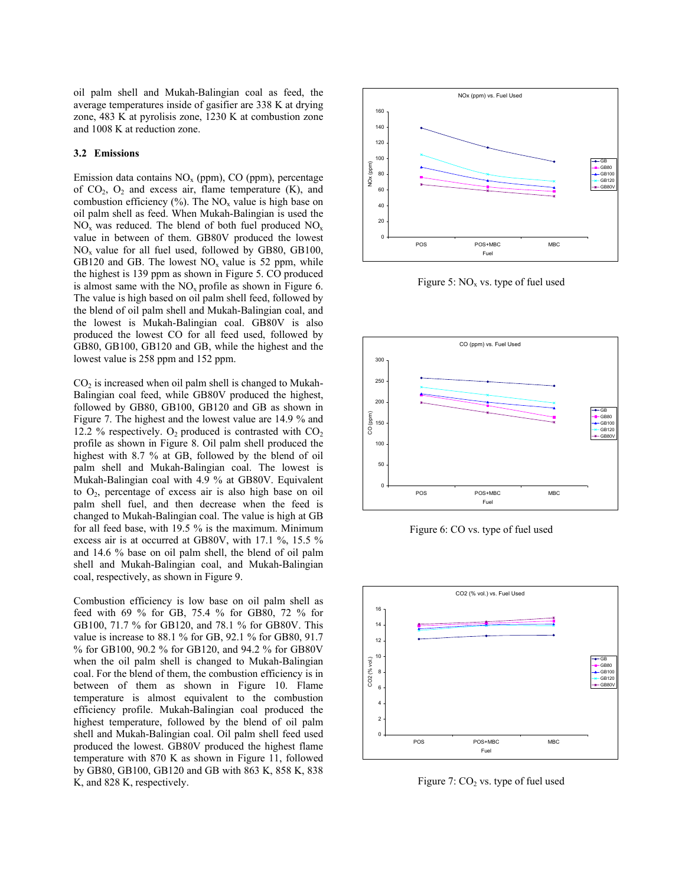oil palm shell and Mukah-Balingian coal as feed, the average temperatures inside of gasifier are 338 K at drying zone, 483 K at pyrolisis zone, 1230 K at combustion zone and 1008 K at reduction zone.

#### **3.2 Emissions**

Emission data contains  $NO<sub>x</sub>$  (ppm), CO (ppm), percentage of  $CO<sub>2</sub>$ ,  $O<sub>2</sub>$  and excess air, flame temperature (K), and combustion efficiency  $(\%)$ . The NO<sub>x</sub> value is high base on oil palm shell as feed. When Mukah-Balingian is used the  $NO<sub>x</sub>$  was reduced. The blend of both fuel produced  $NO<sub>x</sub>$ value in between of them. GB80V produced the lowest  $NO<sub>x</sub>$  value for all fuel used, followed by GB80, GB100, GB120 and GB. The lowest  $NO<sub>x</sub>$  value is 52 ppm, while the highest is 139 ppm as shown in Figure 5. CO produced is almost same with the  $NO<sub>x</sub>$  profile as shown in Figure 6. The value is high based on oil palm shell feed, followed by the blend of oil palm shell and Mukah-Balingian coal, and the lowest is Mukah-Balingian coal. GB80V is also produced the lowest CO for all feed used, followed by GB80, GB100, GB120 and GB, while the highest and the lowest value is 258 ppm and 152 ppm.

 $CO<sub>2</sub>$  is increased when oil palm shell is changed to Mukah-Balingian coal feed, while GB80V produced the highest, followed by GB80, GB100, GB120 and GB as shown in Figure 7. The highest and the lowest value are 14.9 % and 12.2 % respectively.  $O_2$  produced is contrasted with  $CO_2$ profile as shown in Figure 8. Oil palm shell produced the highest with 8.7 % at GB, followed by the blend of oil palm shell and Mukah-Balingian coal. The lowest is Mukah-Balingian coal with 4.9 % at GB80V. Equivalent to O2, percentage of excess air is also high base on oil palm shell fuel, and then decrease when the feed is changed to Mukah-Balingian coal. The value is high at GB for all feed base, with 19.5 % is the maximum. Minimum excess air is at occurred at GB80V, with 17.1 %, 15.5 % and 14.6 % base on oil palm shell, the blend of oil palm shell and Mukah-Balingian coal, and Mukah-Balingian coal, respectively, as shown in Figure 9.

Combustion efficiency is low base on oil palm shell as feed with 69 % for GB, 75.4 % for GB80, 72 % for GB100, 71.7 % for GB120, and 78.1 % for GB80V. This value is increase to 88.1 % for GB, 92.1 % for GB80, 91.7 % for GB100, 90.2 % for GB120, and 94.2 % for GB80V when the oil palm shell is changed to Mukah-Balingian coal. For the blend of them, the combustion efficiency is in between of them as shown in Figure 10. Flame temperature is almost equivalent to the combustion efficiency profile. Mukah-Balingian coal produced the highest temperature, followed by the blend of oil palm shell and Mukah-Balingian coal. Oil palm shell feed used produced the lowest. GB80V produced the highest flame temperature with 870 K as shown in Figure 11, followed by GB80, GB100, GB120 and GB with 863 K, 858 K, 838 K, and 828 K, respectively.



Figure 5:  $NO<sub>x</sub>$  vs. type of fuel used



Figure 6: CO vs. type of fuel used



Figure 7:  $CO<sub>2</sub>$  vs. type of fuel used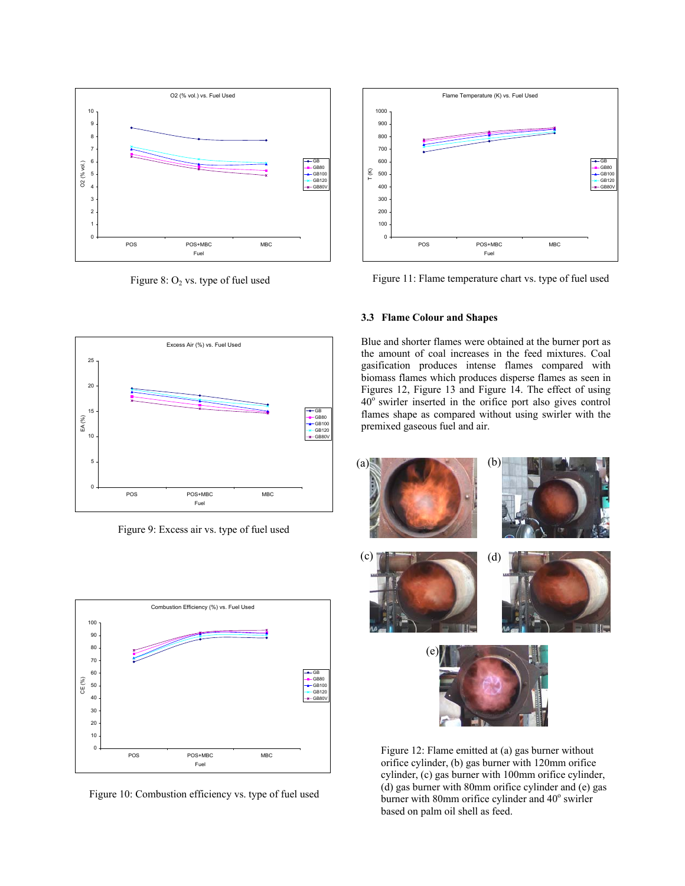

Figure 8:  $O_2$  vs. type of fuel used



Figure 9: Excess air vs. type of fuel used



Figure 10: Combustion efficiency vs. type of fuel used



Figure 11: Flame temperature chart vs. type of fuel used

## **3.3 Flame Colour and Shapes**

Blue and shorter flames were obtained at the burner port as the amount of coal increases in the feed mixtures. Coal gasification produces intense flames compared with biomass flames which produces disperse flames as seen in Figures 12, Figure 13 and Figure 14. The effect of using  $40^\circ$  swirler inserted in the orifice port also gives control flames shape as compared without using swirler with the premixed gaseous fuel and air.



Figure 12: Flame emitted at (a) gas burner without orifice cylinder, (b) gas burner with 120mm orifice cylinder, (c) gas burner with 100mm orifice cylinder, (d) gas burner with 80mm orifice cylinder and (e) gas burner with 80mm orifice cylinder and 40° swirler based on palm oil shell as feed.